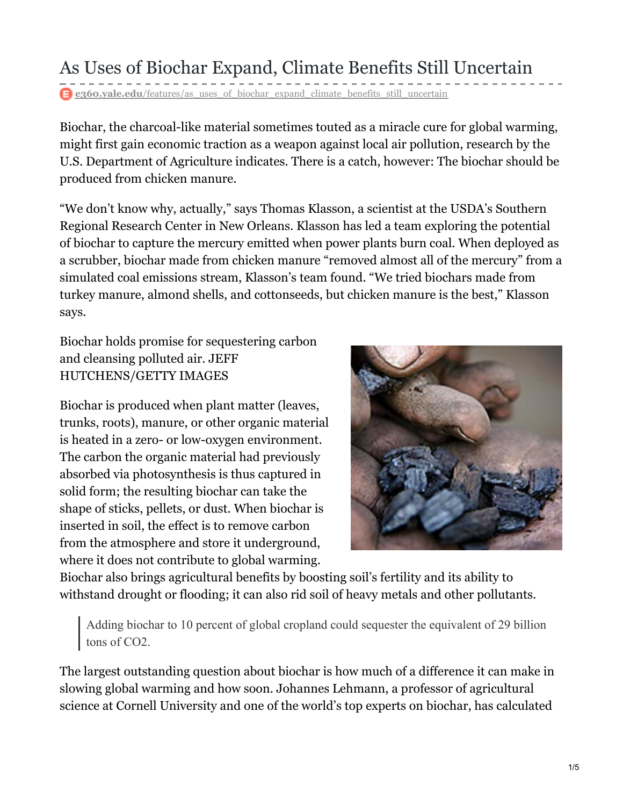## As Uses of Biochar Expand, Climate Benefits Still Uncertain

**e** e360.vale.edu/features/as uses of biochar expand climate benefits still uncertain

Biochar, the charcoal-like material sometimes touted as a miracle cure for global warming, might first gain economic traction as a weapon against local air pollution, research by the U.S. Department of Agriculture indicates. There is a catch, however: The biochar should be produced from chicken manure.

"We don't know why, actually," says Thomas Klasson, a scientist at the USDA's Southern Regional Research Center in New Orleans. Klasson has led a team exploring the potential of biochar to capture the mercury emitted when power plants burn coal. When deployed as a scrubber, biochar made from chicken manure "removed almost all of the mercury" from a simulated coal emissions stream, Klasson's team found. "We tried biochars made from turkey manure, almond shells, and cottonseeds, but chicken manure is the best," Klasson says.

Biochar holds promise for sequestering carbon and cleansing polluted air. JEFF HUTCHENS/GETTY IMAGES

Biochar is produced when plant matter (leaves, trunks, roots), manure, or other organic material is heated in a zero- or low-oxygen environment. The carbon the organic material had previously absorbed via photosynthesis is thus captured in solid form; the resulting biochar can take the shape of sticks, pellets, or dust. When biochar is inserted in soil, the effect is to remove carbon from the atmosphere and store it underground, where it does not contribute to global warming.



Biochar also brings agricultural benefits by boosting soil's fertility and its ability to withstand drought or flooding; it can also rid soil of heavy metals and other pollutants.

Adding biochar to 10 percent of global cropland could sequester the equivalent of 29 billion tons of CO2.

The largest outstanding question about biochar is how much of a difference it can make in slowing global warming and how soon. Johannes Lehmann, a professor of agricultural science at Cornell University and one of the world's top experts on biochar, has calculated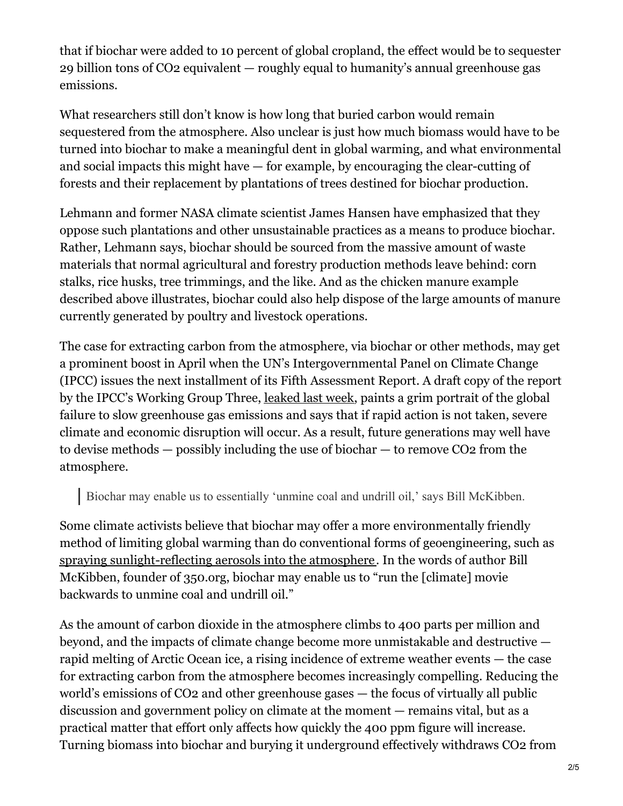that if biochar were added to 10 percent of global cropland, the effect would be to sequester 29 billion tons of CO2 equivalent — roughly equal to humanity's annual greenhouse gas emissions.

What researchers still don't know is how long that buried carbon would remain sequestered from the atmosphere. Also unclear is just how much biomass would have to be turned into biochar to make a meaningful dent in global warming, and what environmental and social impacts this might have — for example, by encouraging the clear-cutting of forests and their replacement by plantations of trees destined for biochar production.

Lehmann and former NASA climate scientist James Hansen have emphasized that they oppose such plantations and other unsustainable practices as a means to produce biochar. Rather, Lehmann says, biochar should be sourced from the massive amount of waste materials that normal agricultural and forestry production methods leave behind: corn stalks, rice husks, tree trimmings, and the like. And as the chicken manure example described above illustrates, biochar could also help dispose of the large amounts of manure currently generated by poultry and livestock operations.

The case for extracting carbon from the atmosphere, via biochar or other methods, may get a prominent boost in April when the UN's Intergovernmental Panel on Climate Change (IPCC) issues the next installment of its Fifth Assessment Report. A draft copy of the report by the IPCC's Working Group Three, [leaked](http://www.nytimes.com/2014/01/17/science/earth/un-says-lag-in-confronting-climate-woes-will-be-costly.html?hp) last week, paints a grim portrait of the global failure to slow greenhouse gas emissions and says that if rapid action is not taken, severe climate and economic disruption will occur. As a result, future generations may well have to devise methods — possibly including the use of biochar — to remove CO2 from the atmosphere.

Biochar may enable us to essentially 'unmine coal and undrill oil,' says Bill McKibben.

Some climate activists believe that biochar may offer a more environmentally friendly method of limiting global warming than do conventional forms of geoengineering, such as spraying [sunlight-reflecting](http://e360.yale.edu/features/solar_geoengineering_weighing_costs_of_blocking_the_suns_rays) aerosols into the atmosphere. In the words of author Bill McKibben, founder of 350.org, biochar may enable us to "run the [climate] movie backwards to unmine coal and undrill oil."

As the amount of carbon dioxide in the atmosphere climbs to 400 parts per million and beyond, and the impacts of climate change become more unmistakable and destructive rapid melting of Arctic Ocean ice, a rising incidence of extreme weather events — the case for extracting carbon from the atmosphere becomes increasingly compelling. Reducing the world's emissions of CO2 and other greenhouse gases — the focus of virtually all public discussion and government policy on climate at the moment — remains vital, but as a practical matter that effort only affects how quickly the 400 ppm figure will increase. Turning biomass into biochar and burying it underground effectively withdraws CO2 from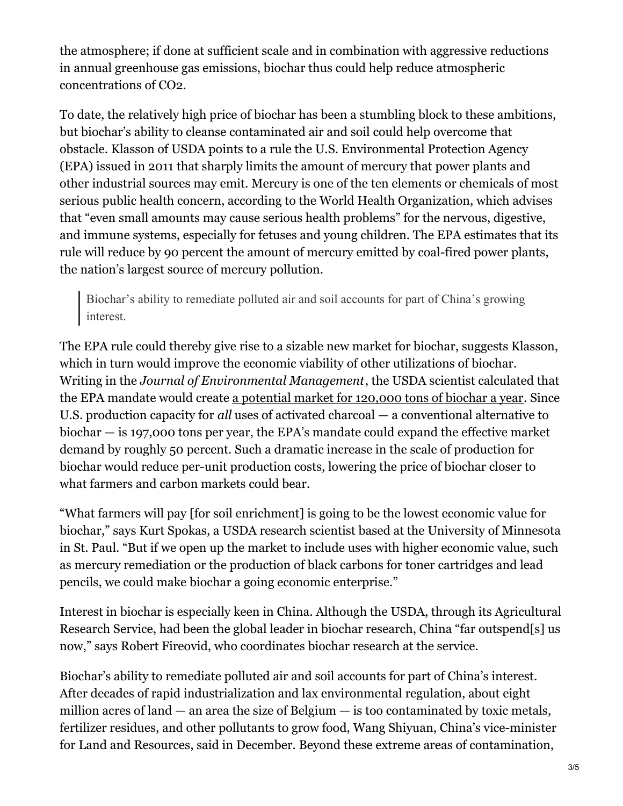the atmosphere; if done at sufficient scale and in combination with aggressive reductions in annual greenhouse gas emissions, biochar thus could help reduce atmospheric concentrations of CO2.

To date, the relatively high price of biochar has been a stumbling block to these ambitions, but biochar's ability to cleanse contaminated air and soil could help overcome that obstacle. Klasson of USDA points to a rule the U.S. Environmental Protection Agency (EPA) issued in 2011 that sharply limits the amount of mercury that power plants and other industrial sources may emit. Mercury is one of the ten elements or chemicals of most serious public health concern, according to the World Health Organization, which advises that "even small amounts may cause serious health problems" for the nervous, digestive, and immune systems, especially for fetuses and young children. The EPA estimates that its rule will reduce by 90 percent the amount of mercury emitted by coal-fired power plants, the nation's largest source of mercury pollution.

Biochar's ability to remediate polluted air and soil accounts for part of China's growing interest.

The EPA rule could thereby give rise to a sizable new market for biochar, suggests Klasson, which in turn would improve the economic viability of other utilizations of biochar. Writing in the *Journal of Environmental Management*, the USDA scientist calculated that the EPA mandate would create a [potential](http://www.ncbi.nlm.nih.gov/pubmed/20678859) market for 120,000 tons of biochar a year. Since U.S. production capacity for *all* uses of activated charcoal — a conventional alternative to biochar — is 197,000 tons per year, the EPA's mandate could expand the effective market demand by roughly 50 percent. Such a dramatic increase in the scale of production for biochar would reduce per-unit production costs, lowering the price of biochar closer to what farmers and carbon markets could bear.

"What farmers will pay [for soil enrichment] is going to be the lowest economic value for biochar," says Kurt Spokas, a USDA research scientist based at the University of Minnesota in St. Paul. "But if we open up the market to include uses with higher economic value, such as mercury remediation or the production of black carbons for toner cartridges and lead pencils, we could make biochar a going economic enterprise."

Interest in biochar is especially keen in China. Although the USDA, through its Agricultural Research Service, had been the global leader in biochar research, China "far outspend[s] us now," says Robert Fireovid, who coordinates biochar research at the service.

Biochar's ability to remediate polluted air and soil accounts for part of China's interest. After decades of rapid industrialization and lax environmental regulation, about eight million acres of land — an area the size of Belgium — is too contaminated by toxic metals, fertilizer residues, and other pollutants to grow food, Wang Shiyuan, China's vice-minister for Land and Resources, said in December. Beyond these extreme areas of contamination,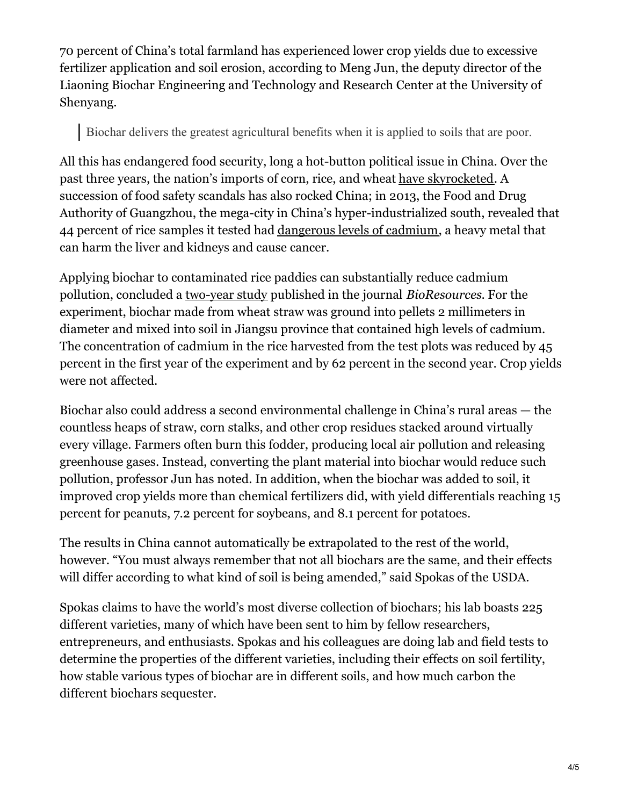70 percent of China's total farmland has experienced lower crop yields due to excessive fertilizer application and soil erosion, according to Meng Jun, the deputy director of the Liaoning Biochar Engineering and Technology and Research Center at the University of Shenyang.

## Biochar delivers the greatest agricultural benefits when it is applied to soils that are poor.

All this has endangered food security, long a hot-button political issue in China. Over the past three years, the nation's imports of corn, rice, and wheat have [skyrocketed](http://www.chinaeconomicreview.com/china-grain-policy-rice-imports-self-sufficiency). A succession of food safety scandals has also rocked China; in 2013, the Food and Drug Authority of Guangzhou, the mega-city in China's hyper-industrialized south, revealed that 44 percent of rice samples it tested had [dangerous](http://www.ibtimes.com/new-food-scandal-china-rice-tainted-cadmium-guangzhou-1270269) levels of cadmium, a heavy metal that can harm the liver and kidneys and cause cancer.

Applying biochar to contaminated rice paddies can substantially reduce cadmium pollution, concluded a [two-year](http://ojs.cnr.ncsu.edu/index.php/BioRes/article/view/BioRes_06_3_2605_Cui_LZPBC_Biochar_Amendment_Rice_Cd_Uptake/1023 ) study published in the journal *BioResources*. For the experiment, biochar made from wheat straw was ground into pellets 2 millimeters in diameter and mixed into soil in Jiangsu province that contained high levels of cadmium. The concentration of cadmium in the rice harvested from the test plots was reduced by 45 percent in the first year of the experiment and by 62 percent in the second year. Crop yields were not affected.

Biochar also could address a second environmental challenge in China's rural areas — the countless heaps of straw, corn stalks, and other crop residues stacked around virtually every village. Farmers often burn this fodder, producing local air pollution and releasing greenhouse gases. Instead, converting the plant material into biochar would reduce such pollution, professor Jun has noted. In addition, when the biochar was added to soil, it improved crop yields more than chemical fertilizers did, with yield differentials reaching 15 percent for peanuts, 7.2 percent for soybeans, and 8.1 percent for potatoes.

The results in China cannot automatically be extrapolated to the rest of the world, however. "You must always remember that not all biochars are the same, and their effects will differ according to what kind of soil is being amended," said Spokas of the USDA.

Spokas claims to have the world's most diverse collection of biochars; his lab boasts 225 different varieties, many of which have been sent to him by fellow researchers, entrepreneurs, and enthusiasts. Spokas and his colleagues are doing lab and field tests to determine the properties of the different varieties, including their effects on soil fertility, how stable various types of biochar are in different soils, and how much carbon the different biochars sequester.